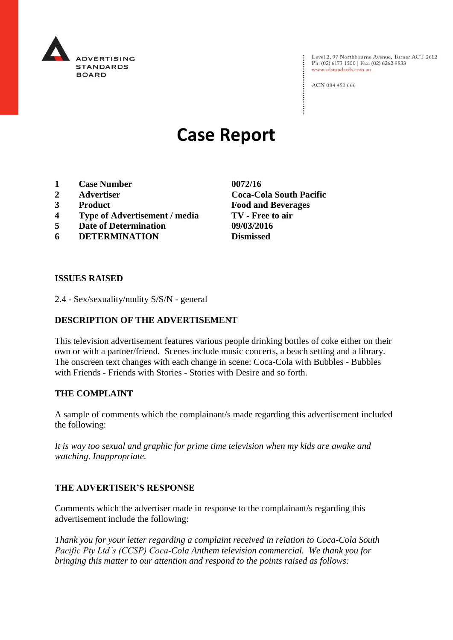

Level 2, 97 Northbourne Avenue, Turner ACT 2612<br>Ph: (02) 6173 1500 | Fax: (02) 6262 9833 www.adstandards.com.au

ACN 084 452 666

# **Case Report**

- **1 Case Number 0072/16**
- 
- 
- **4 Type of Advertisement / media TV - Free to air**
- **5 Date of Determination 09/03/2016**
- **6 DETERMINATION Dismissed**

**2 Advertiser Coca-Cola South Pacific 3 Product Food and Beverages**

### **ISSUES RAISED**

2.4 - Sex/sexuality/nudity S/S/N - general

# **DESCRIPTION OF THE ADVERTISEMENT**

This television advertisement features various people drinking bottles of coke either on their own or with a partner/friend. Scenes include music concerts, a beach setting and a library. The onscreen text changes with each change in scene: Coca-Cola with Bubbles - Bubbles with Friends - Friends with Stories - Stories with Desire and so forth.

### **THE COMPLAINT**

A sample of comments which the complainant/s made regarding this advertisement included the following:

*It is way too sexual and graphic for prime time television when my kids are awake and watching. Inappropriate.*

### **THE ADVERTISER'S RESPONSE**

Comments which the advertiser made in response to the complainant/s regarding this advertisement include the following:

*Thank you for your letter regarding a complaint received in relation to Coca-Cola South Pacific Pty Ltd's (CCSP) Coca-Cola Anthem television commercial. We thank you for bringing this matter to our attention and respond to the points raised as follows:*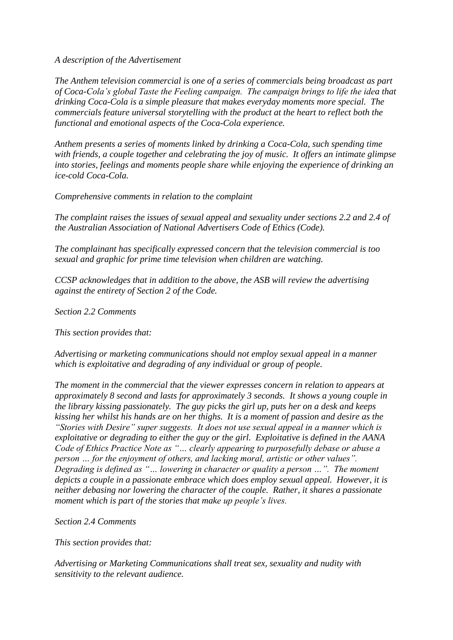*A description of the Advertisement*

*The Anthem television commercial is one of a series of commercials being broadcast as part of Coca-Cola's global Taste the Feeling campaign. The campaign brings to life the idea that drinking Coca-Cola is a simple pleasure that makes everyday moments more special. The commercials feature universal storytelling with the product at the heart to reflect both the functional and emotional aspects of the Coca-Cola experience.*

*Anthem presents a series of moments linked by drinking a Coca-Cola, such spending time with friends, a couple together and celebrating the joy of music. It offers an intimate glimpse into stories, feelings and moments people share while enjoying the experience of drinking an ice-cold Coca-Cola.*

*Comprehensive comments in relation to the complaint*

*The complaint raises the issues of sexual appeal and sexuality under sections 2.2 and 2.4 of the Australian Association of National Advertisers Code of Ethics (Code).*

*The complainant has specifically expressed concern that the television commercial is too sexual and graphic for prime time television when children are watching.*

*CCSP acknowledges that in addition to the above, the ASB will review the advertising against the entirety of Section 2 of the Code.*

*Section 2.2 Comments*

*This section provides that:*

*Advertising or marketing communications should not employ sexual appeal in a manner which is exploitative and degrading of any individual or group of people.*

*The moment in the commercial that the viewer expresses concern in relation to appears at approximately 8 second and lasts for approximately 3 seconds. It shows a young couple in the library kissing passionately. The guy picks the girl up, puts her on a desk and keeps kissing her whilst his hands are on her thighs. It is a moment of passion and desire as the "Stories with Desire" super suggests. It does not use sexual appeal in a manner which is exploitative or degrading to either the guy or the girl. Exploitative is defined in the AANA Code of Ethics Practice Note as "… clearly appearing to purposefully debase or abuse a person … for the enjoyment of others, and lacking moral, artistic or other values". Degrading is defined as "… lowering in character or quality a person …". The moment depicts a couple in a passionate embrace which does employ sexual appeal. However, it is neither debasing nor lowering the character of the couple. Rather, it shares a passionate moment which is part of the stories that make up people's lives.*

*Section 2.4 Comments*

*This section provides that:*

*Advertising or Marketing Communications shall treat sex, sexuality and nudity with sensitivity to the relevant audience.*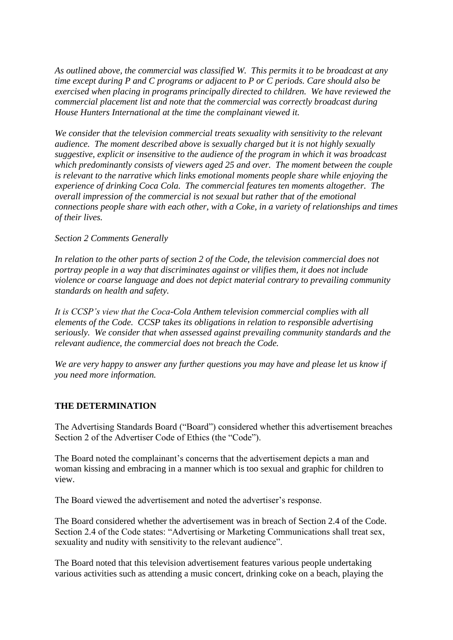*As outlined above, the commercial was classified W. This permits it to be broadcast at any time except during P and C programs or adjacent to P or C periods. Care should also be exercised when placing in programs principally directed to children. We have reviewed the commercial placement list and note that the commercial was correctly broadcast during House Hunters International at the time the complainant viewed it.*

*We consider that the television commercial treats sexuality with sensitivity to the relevant audience. The moment described above is sexually charged but it is not highly sexually suggestive, explicit or insensitive to the audience of the program in which it was broadcast which predominantly consists of viewers aged 25 and over. The moment between the couple is relevant to the narrative which links emotional moments people share while enjoying the experience of drinking Coca Cola. The commercial features ten moments altogether. The overall impression of the commercial is not sexual but rather that of the emotional connections people share with each other, with a Coke, in a variety of relationships and times of their lives.*

# *Section 2 Comments Generally*

*In relation to the other parts of section 2 of the Code, the television commercial does not portray people in a way that discriminates against or vilifies them, it does not include violence or coarse language and does not depict material contrary to prevailing community standards on health and safety.*

*It is CCSP's view that the Coca-Cola Anthem television commercial complies with all elements of the Code. CCSP takes its obligations in relation to responsible advertising seriously. We consider that when assessed against prevailing community standards and the relevant audience, the commercial does not breach the Code.*

*We are very happy to answer any further questions you may have and please let us know if you need more information.*

### **THE DETERMINATION**

The Advertising Standards Board ("Board") considered whether this advertisement breaches Section 2 of the Advertiser Code of Ethics (the "Code").

The Board noted the complainant's concerns that the advertisement depicts a man and woman kissing and embracing in a manner which is too sexual and graphic for children to view.

The Board viewed the advertisement and noted the advertiser's response.

The Board considered whether the advertisement was in breach of Section 2.4 of the Code. Section 2.4 of the Code states: "Advertising or Marketing Communications shall treat sex, sexuality and nudity with sensitivity to the relevant audience".

The Board noted that this television advertisement features various people undertaking various activities such as attending a music concert, drinking coke on a beach, playing the